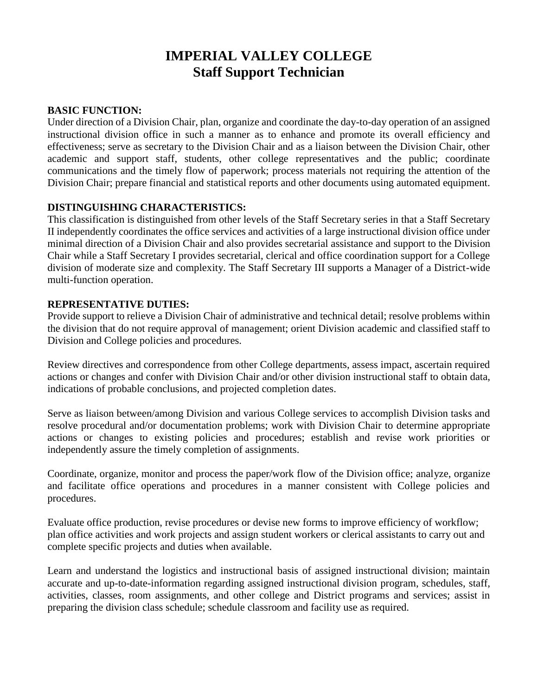# **IMPERIAL VALLEY COLLEGE Staff Support Technician**

## **BASIC FUNCTION:**

Under direction of a Division Chair, plan, organize and coordinate the day-to-day operation of an assigned instructional division office in such a manner as to enhance and promote its overall efficiency and effectiveness; serve as secretary to the Division Chair and as a liaison between the Division Chair, other academic and support staff, students, other college representatives and the public; coordinate communications and the timely flow of paperwork; process materials not requiring the attention of the Division Chair; prepare financial and statistical reports and other documents using automated equipment.

## **DISTINGUISHING CHARACTERISTICS:**

This classification is distinguished from other levels of the Staff Secretary series in that a Staff Secretary II independently coordinates the office services and activities of a large instructional division office under minimal direction of a Division Chair and also provides secretarial assistance and support to the Division Chair while a Staff Secretary I provides secretarial, clerical and office coordination support for a College division of moderate size and complexity. The Staff Secretary III supports a Manager of a District-wide multi-function operation.

## **REPRESENTATIVE DUTIES:**

Provide support to relieve a Division Chair of administrative and technical detail; resolve problems within the division that do not require approval of management; orient Division academic and classified staff to Division and College policies and procedures.

Review directives and correspondence from other College departments, assess impact, ascertain required actions or changes and confer with Division Chair and/or other division instructional staff to obtain data, indications of probable conclusions, and projected completion dates.

Serve as liaison between/among Division and various College services to accomplish Division tasks and resolve procedural and/or documentation problems; work with Division Chair to determine appropriate actions or changes to existing policies and procedures; establish and revise work priorities or independently assure the timely completion of assignments.

Coordinate, organize, monitor and process the paper/work flow of the Division office; analyze, organize and facilitate office operations and procedures in a manner consistent with College policies and procedures.

Evaluate office production, revise procedures or devise new forms to improve efficiency of workflow; plan office activities and work projects and assign student workers or clerical assistants to carry out and complete specific projects and duties when available.

Learn and understand the logistics and instructional basis of assigned instructional division; maintain accurate and up-to-date-information regarding assigned instructional division program, schedules, staff, activities, classes, room assignments, and other college and District programs and services; assist in preparing the division class schedule; schedule classroom and facility use as required.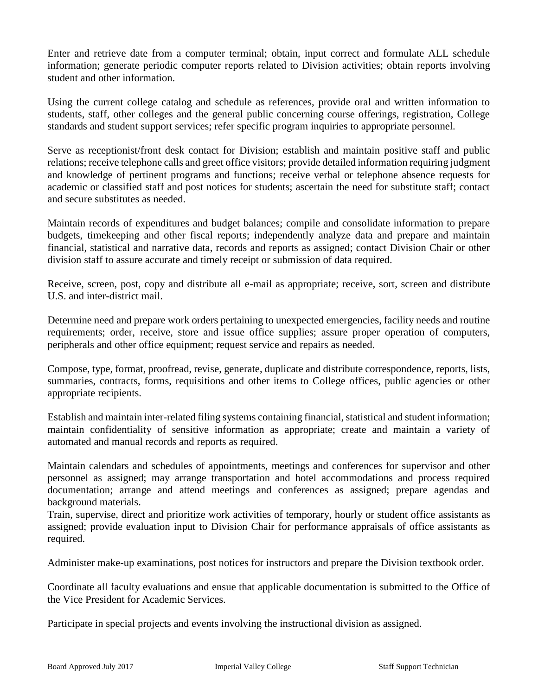Enter and retrieve date from a computer terminal; obtain, input correct and formulate ALL schedule information; generate periodic computer reports related to Division activities; obtain reports involving student and other information.

Using the current college catalog and schedule as references, provide oral and written information to students, staff, other colleges and the general public concerning course offerings, registration, College standards and student support services; refer specific program inquiries to appropriate personnel.

Serve as receptionist/front desk contact for Division; establish and maintain positive staff and public relations; receive telephone calls and greet office visitors; provide detailed information requiring judgment and knowledge of pertinent programs and functions; receive verbal or telephone absence requests for academic or classified staff and post notices for students; ascertain the need for substitute staff; contact and secure substitutes as needed.

Maintain records of expenditures and budget balances; compile and consolidate information to prepare budgets, timekeeping and other fiscal reports; independently analyze data and prepare and maintain financial, statistical and narrative data, records and reports as assigned; contact Division Chair or other division staff to assure accurate and timely receipt or submission of data required.

Receive, screen, post, copy and distribute all e-mail as appropriate; receive, sort, screen and distribute U.S. and inter-district mail.

Determine need and prepare work orders pertaining to unexpected emergencies, facility needs and routine requirements; order, receive, store and issue office supplies; assure proper operation of computers, peripherals and other office equipment; request service and repairs as needed.

Compose, type, format, proofread, revise, generate, duplicate and distribute correspondence, reports, lists, summaries, contracts, forms, requisitions and other items to College offices, public agencies or other appropriate recipients.

Establish and maintain inter-related filing systems containing financial, statistical and student information; maintain confidentiality of sensitive information as appropriate; create and maintain a variety of automated and manual records and reports as required.

Maintain calendars and schedules of appointments, meetings and conferences for supervisor and other personnel as assigned; may arrange transportation and hotel accommodations and process required documentation; arrange and attend meetings and conferences as assigned; prepare agendas and background materials.

Train, supervise, direct and prioritize work activities of temporary, hourly or student office assistants as assigned; provide evaluation input to Division Chair for performance appraisals of office assistants as required.

Administer make-up examinations, post notices for instructors and prepare the Division textbook order.

Coordinate all faculty evaluations and ensue that applicable documentation is submitted to the Office of the Vice President for Academic Services.

Participate in special projects and events involving the instructional division as assigned.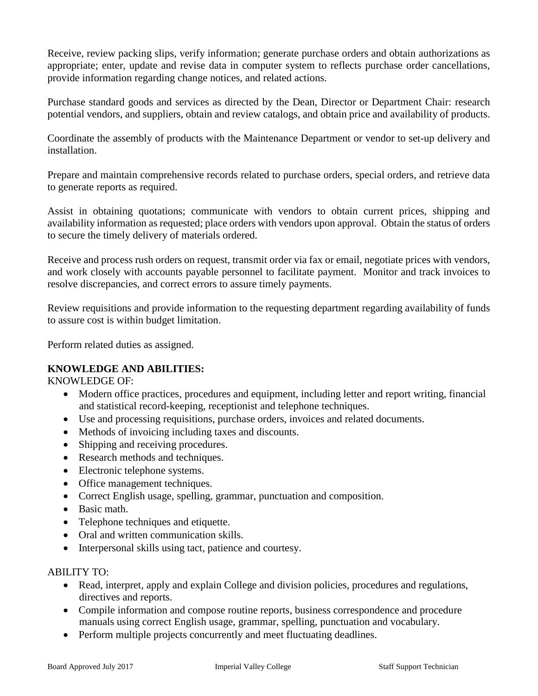Receive, review packing slips, verify information; generate purchase orders and obtain authorizations as appropriate; enter, update and revise data in computer system to reflects purchase order cancellations, provide information regarding change notices, and related actions.

Purchase standard goods and services as directed by the Dean, Director or Department Chair: research potential vendors, and suppliers, obtain and review catalogs, and obtain price and availability of products.

Coordinate the assembly of products with the Maintenance Department or vendor to set-up delivery and installation.

Prepare and maintain comprehensive records related to purchase orders, special orders, and retrieve data to generate reports as required.

Assist in obtaining quotations; communicate with vendors to obtain current prices, shipping and availability information as requested; place orders with vendors upon approval. Obtain the status of orders to secure the timely delivery of materials ordered.

Receive and process rush orders on request, transmit order via fax or email, negotiate prices with vendors, and work closely with accounts payable personnel to facilitate payment. Monitor and track invoices to resolve discrepancies, and correct errors to assure timely payments.

Review requisitions and provide information to the requesting department regarding availability of funds to assure cost is within budget limitation.

Perform related duties as assigned.

## **KNOWLEDGE AND ABILITIES:**

KNOWLEDGE OF:

- Modern office practices, procedures and equipment, including letter and report writing, financial and statistical record-keeping, receptionist and telephone techniques.
- Use and processing requisitions, purchase orders, invoices and related documents.
- Methods of invoicing including taxes and discounts.
- Shipping and receiving procedures.
- Research methods and techniques.
- Electronic telephone systems.
- Office management techniques.
- Correct English usage, spelling, grammar, punctuation and composition.
- Basic math.
- Telephone techniques and etiquette.
- Oral and written communication skills.
- Interpersonal skills using tact, patience and courtesy.

## ABILITY TO:

- Read, interpret, apply and explain College and division policies, procedures and regulations, directives and reports.
- Compile information and compose routine reports, business correspondence and procedure manuals using correct English usage, grammar, spelling, punctuation and vocabulary.
- Perform multiple projects concurrently and meet fluctuating deadlines.